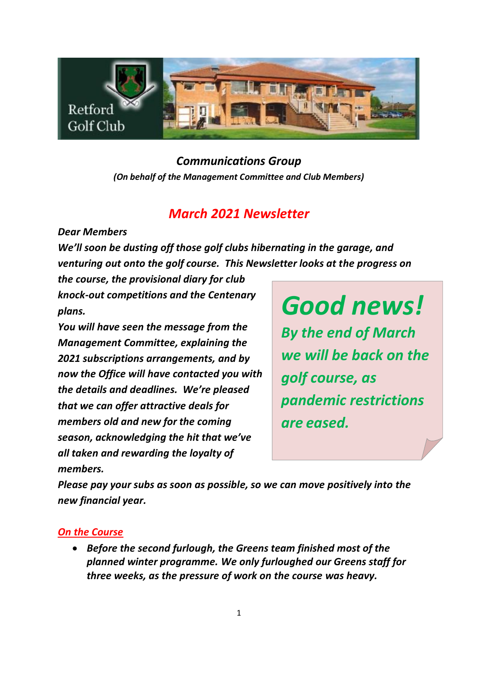

### *Communications Group (On behalf of the Management Committee and Club Members)*

# *March 2021 Newsletter*

*Dear Members*

*We'll soon be dusting off those golf clubs hibernating in the garage, and venturing out onto the golf course. This Newsletter looks at the progress on* 

*the course, the provisional diary for club knock-out competitions and the Centenary plans.* 

*You will have seen the message from the Management Committee, explaining the 2021 subscriptions arrangements, and by now the Office will have contacted you with the details and deadlines. We're pleased that we can offer attractive deals for members old and new for the coming season, acknowledging the hit that we've all taken and rewarding the loyalty of members.*

*Good news! By the end of March we will be back on the golf course, as pandemic restrictions are eased.*

*Please pay your subs as soon as possible, so we can move positively into the new financial year.*

### *On the Course*

• *Before the second furlough, the Greens team finished most of the planned winter programme. We only furloughed our Greens staff for three weeks, as the pressure of work on the course was heavy.*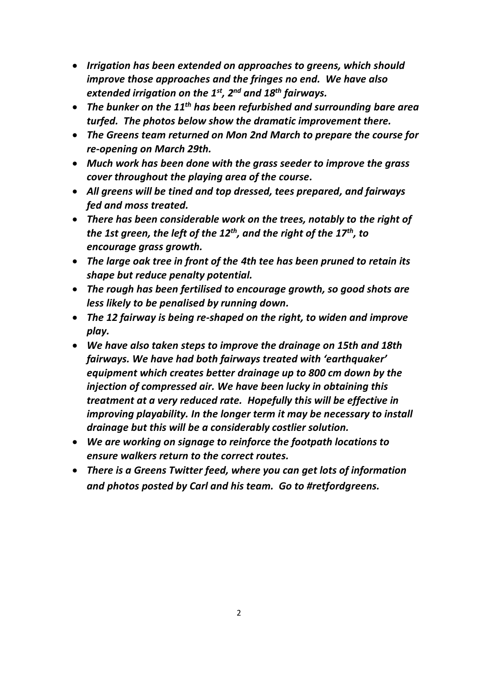- *Irrigation has been extended on approaches to greens, which should improve those approaches and the fringes no end. We have also extended irrigation on the 1st, 2nd and 18th fairways.*
- *The bunker on the 11th has been refurbished and surrounding bare area turfed. The photos below show the dramatic improvement there.*
- *The Greens team returned on Mon 2nd March to prepare the course for re-opening on March 29th.*
- *Much work has been done with the grass seeder to improve the grass cover throughout the playing area of the course.*
- *All greens will be tined and top dressed, tees prepared, and fairways fed and moss treated.*
- *There has been considerable work on the trees, notably to the right of the 1st green, the left of the 12th , and the right of the 17th , to encourage grass growth.*
- *The large oak tree in front of the 4th tee has been pruned to retain its shape but reduce penalty potential.*
- *The rough has been fertilised to encourage growth, so good shots are less likely to be penalised by running down.*
- *The 12 fairway is being re-shaped on the right, to widen and improve play.*
- *We have also taken steps to improve the drainage on 15th and 18th fairways. We have had both fairways treated with 'earthquaker' equipment which creates better drainage up to 800 cm down by the injection of compressed air. We have been lucky in obtaining this treatment at a very reduced rate. Hopefully this will be effective in improving playability. In the longer term it may be necessary to install drainage but this will be a considerably costlier solution.*
- *We are working on signage to reinforce the footpath locations to ensure walkers return to the correct routes.*
- *There is a Greens Twitter feed, where you can get lots of information and photos posted by Carl and his team. Go to #retfordgreens.*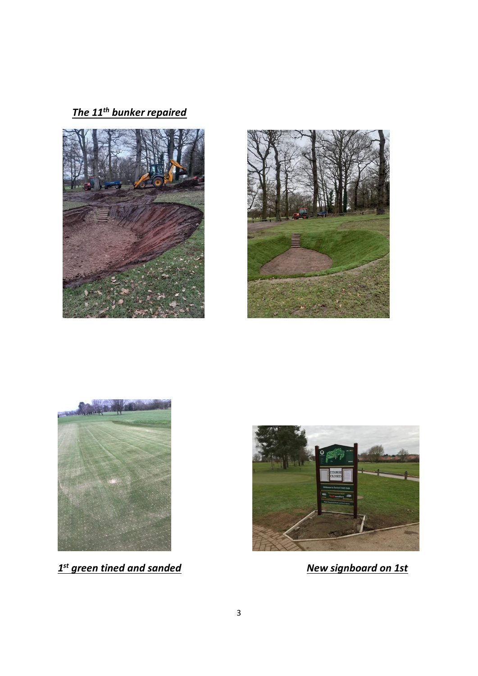*The 11th bunker repaired*







*1 st green tined and sanded New signboard on 1st*

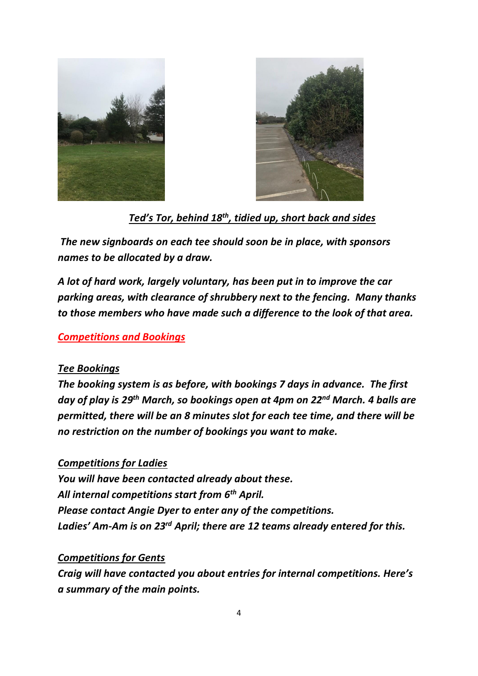



 *Ted's Tor, behind 18th , tidied up, short back and sides*

*The new signboards on each tee should soon be in place, with sponsors names to be allocated by a draw.*

*A lot of hard work, largely voluntary, has been put in to improve the car parking areas, with clearance of shrubbery next to the fencing. Many thanks to those members who have made such a difference to the look of that area.*

#### *Competitions and Bookings*

#### *Tee Bookings*

*The booking system is as before, with bookings 7 days in advance. The first day of play is 29th March, so bookings open at 4pm on 22nd March. 4 balls are permitted, there will be an 8 minutes slot for each tee time, and there will be no restriction on the number of bookings you want to make.*

#### *Competitions for Ladies*

*You will have been contacted already about these. All internal competitions start from 6th April. Please contact Angie Dyer to enter any of the competitions. Ladies' Am-Am is on 23rd April; there are 12 teams already entered for this.*

#### *Competitions for Gents*

*Craig will have contacted you about entries for internal competitions. Here's a summary of the main points.*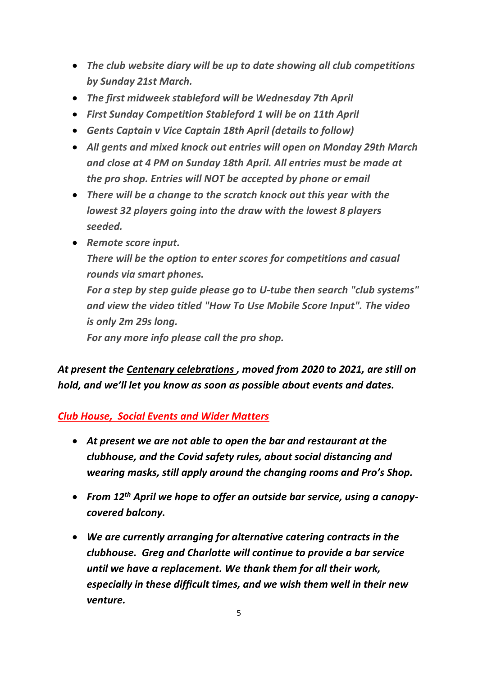- *The club website diary will be up to date showing all club competitions by Sunday 21st March.*
- *The first midweek stableford will be Wednesday 7th April*
- *First Sunday Competition Stableford 1 will be on 11th April*
- *Gents Captain v Vice Captain 18th April (details to follow)*
- *All gents and mixed knock out entries will open on Monday 29th March and close at 4 PM on Sunday 18th April. All entries must be made at the pro shop. Entries will NOT be accepted by phone or email*
- *There will be a change to the scratch knock out this year with the lowest 32 players going into the draw with the lowest 8 players seeded.*
- *Remote score input. There will be the option to enter scores for competitions and casual rounds via smart phones. For a step by step guide please go to U-tube then search "club systems" and view the video titled "How To Use Mobile Score Input". The video is only 2m 29s long. For any more info please call the pro shop.*

*At present the Centenary celebrations , moved from 2020 to 2021, are still on hold, and we'll let you know as soon as possible about events and dates.* 

*Club House, Social Events and Wider Matters*

- *At present we are not able to open the bar and restaurant at the clubhouse, and the Covid safety rules, about social distancing and wearing masks, still apply around the changing rooms and Pro's Shop.*
- *From 12th April we hope to offer an outside bar service, using a canopycovered balcony.*
- *We are currently arranging for alternative catering contracts in the clubhouse. Greg and Charlotte will continue to provide a bar service until we have a replacement. We thank them for all their work, especially in these difficult times, and we wish them well in their new venture.*